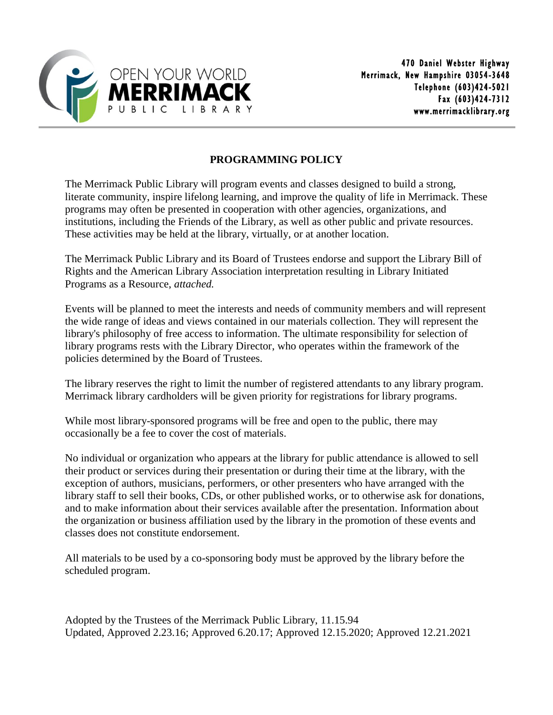

## **PROGRAMMING POLICY**

The Merrimack Public Library will program events and classes designed to build a strong, literate community, inspire lifelong learning, and improve the quality of life in Merrimack. These programs may often be presented in cooperation with other agencies, organizations, and institutions, including the Friends of the Library, as well as other public and private resources. These activities may be held at the library, virtually, or at another location.

The Merrimack Public Library and its Board of Trustees endorse and support the Library Bill of Rights and the American Library Association interpretation resulting in Library Initiated Programs as a Resource, *attached.*

Events will be planned to meet the interests and needs of community members and will represent the wide range of ideas and views contained in our materials collection. They will represent the library's philosophy of free access to information. The ultimate responsibility for selection of library programs rests with the Library Director, who operates within the framework of the policies determined by the Board of Trustees.

The library reserves the right to limit the number of registered attendants to any library program. Merrimack library cardholders will be given priority for registrations for library programs.

While most library-sponsored programs will be free and open to the public, there may occasionally be a fee to cover the cost of materials.

No individual or organization who appears at the library for public attendance is allowed to sell their product or services during their presentation or during their time at the library, with the exception of authors, musicians, performers, or other presenters who have arranged with the library staff to sell their books, CDs, or other published works, or to otherwise ask for donations, and to make information about their services available after the presentation. Information about the organization or business affiliation used by the library in the promotion of these events and classes does not constitute endorsement.

All materials to be used by a co-sponsoring body must be approved by the library before the scheduled program.

Adopted by the Trustees of the Merrimack Public Library, 11.15.94 Updated, Approved 2.23.16; Approved 6.20.17; Approved 12.15.2020; Approved 12.21.2021